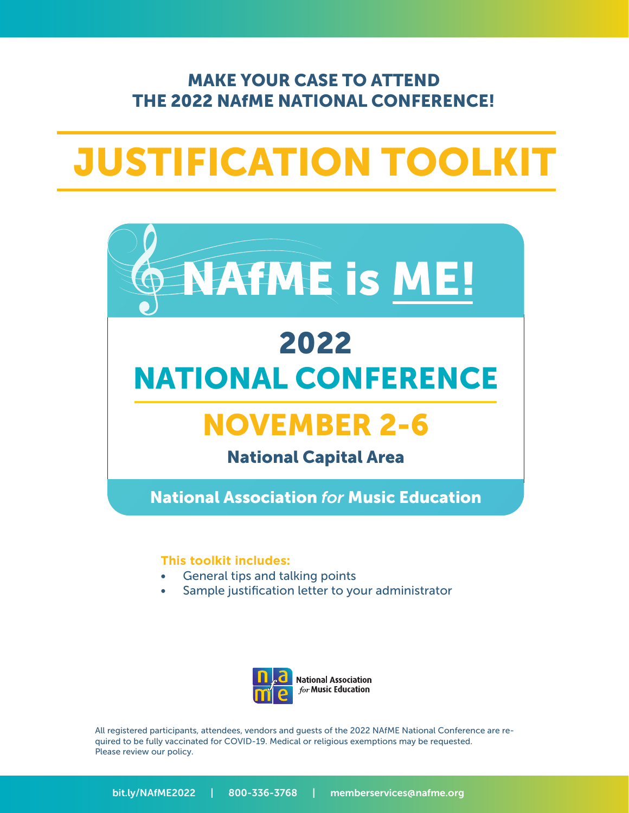### MAKE YOUR CASE TO ATTEND THE 2022 NAfME NATIONAL CONFERENCE!

# JUSTIFICATION TOOLKIT



## 2022 NATIONAL CONFERENCE

# NOVEMBER 2-6

### National Capital Area

National Association *for* Music Education

#### **This toolkit includes:**

- General tips and talking points
- Sample justification letter to your administrator



All registered participants, attendees, vendors and guests of the 2022 NAfME National Conference are required to be fully vaccinated for COVID-19. Medical or religious exemptions may be requested. Please review our policy.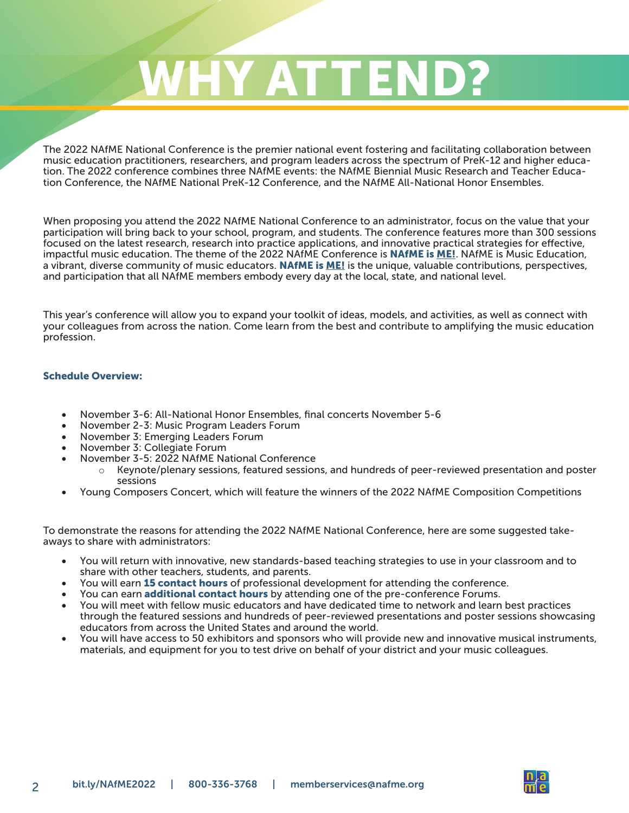# WHY ATTEND?

The 2022 NAfME National Conference is the premier national event fostering and facilitating collaboration between music education practitioners, researchers, and program leaders across the spectrum of PreK-12 and higher education. The 2022 conference combines three NAfME events: the NAfME Biennial Music Research and Teacher Education Conference, the NAfME National PreK-12 Conference, and the NAfME All-National Honor Ensembles.

When proposing you attend the 2022 NAfME National Conference to an administrator, focus on the value that your participation will bring back to your school, program, and students. The conference features more than 300 sessions focused on the latest research, research into practice applications, and innovative practical strategies for effective, impactful music education. The theme of the 2022 NAfME Conference is **NAfME is ME!**. NAfME is Music Education, a vibrant, diverse community of music educators. NAfME is ME! is the unique, valuable contributions, perspectives, and participation that all NAfME members embody every day at the local, state, and national level.

This year's conference will allow you to expand your toolkit of ideas, models, and activities, as well as connect with your colleagues from across the nation. Come learn from the best and contribute to amplifying the music education profession.

#### Schedule Overview:

- • November 3-6: All-National Honor Ensembles, final concerts November 5-6
- November 2-3: Music Program Leaders Forum
- November 3: Emerging Leaders Forum
- November 3: Collegiate Forum
- November 3-5: 2022 NAfME National Conference
	- $\circ$  Keynote/plenary sessions, featured sessions, and hundreds of peer-reviewed presentation and poster sessions
- • Young Composers Concert, which will feature the winners of the 2022 NAfME Composition Competitions

To demonstrate the reasons for attending the 2022 NAfME National Conference, here are some suggested takeaways to share with administrators:

- You will return with innovative, new standards-based teaching strategies to use in your classroom and to share with other teachers, students, and parents.
- You will earn 15 contact hours of professional development for attending the conference.
- You can earn **additional contact hours** by attending one of the pre-conference Forums.
- • You will meet with fellow music educators and have dedicated time to network and learn best practices through the featured sessions and hundreds of peer-reviewed presentations and poster sessions showcasing educators from across the United States and around the world.
- • You will have access to 50 exhibitors and sponsors who will provide new and innovative musical instruments, materials, and equipment for you to test drive on behalf of your district and your music colleagues.

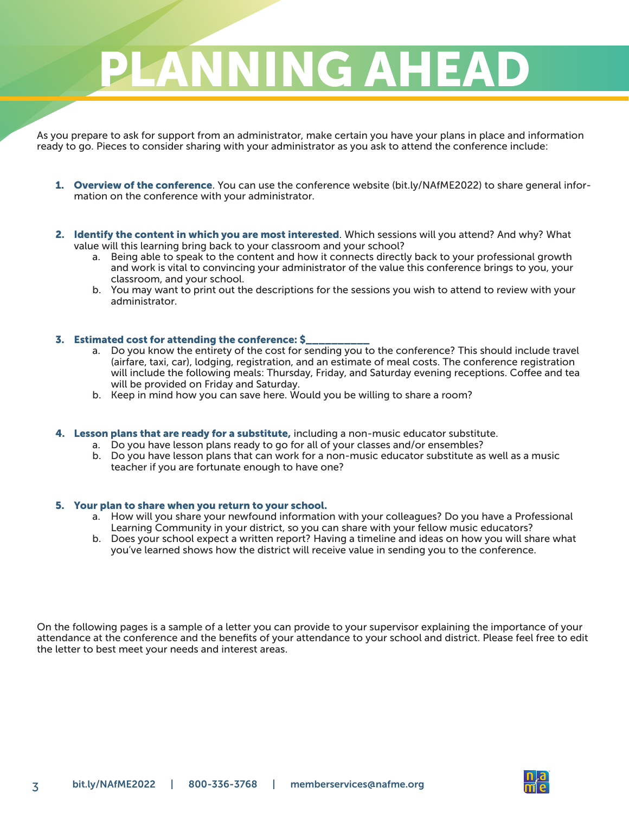# PLANNING AHEA

As you prepare to ask for support from an administrator, make certain you have your plans in place and information ready to go. Pieces to consider sharing with your administrator as you ask to attend the conference include:

- 1. Overview of the conference. You can use the conference website (bit.ly/NAfME2022) to share general information on the conference with your administrator.
- 2. Identify the content in which you are most interested. Which sessions will you attend? And why? What value will this learning bring back to your classroom and your school?
	- a. Being able to speak to the content and how it connects directly back to your professional growth and work is vital to convincing your administrator of the value this conference brings to you, your classroom, and your school.
	- b. You may want to print out the descriptions for the sessions you wish to attend to review with your administrator.

#### 3. Estimated cost for attending the conference: \$\_\_\_\_\_\_\_\_\_\_

- a. Do you know the entirety of the cost for sending you to the conference? This should include travel (airfare, taxi, car), lodging, registration, and an estimate of meal costs. The conference registration will include the following meals: Thursday, Friday, and Saturday evening receptions. Coffee and tea will be provided on Friday and Saturday.
- b. Keep in mind how you can save here. Would you be willing to share a room?
- 4. Lesson plans that are ready for a substitute, including a non-music educator substitute.
	- a. Do you have lesson plans ready to go for all of your classes and/or ensembles?
	- b. Do you have lesson plans that can work for a non-music educator substitute as well as a music teacher if you are fortunate enough to have one?

#### 5. Your plan to share when you return to your school.

- a. How will you share your newfound information with your colleagues? Do you have a Professional Learning Community in your district, so you can share with your fellow music educators?
- b. Does your school expect a written report? Having a timeline and ideas on how you will share what you've learned shows how the district will receive value in sending you to the conference.

On the following pages is a sample of a letter you can provide to your supervisor explaining the importance of your attendance at the conference and the benefits of your attendance to your school and district. Please feel free to edit the letter to best meet your needs and interest areas.

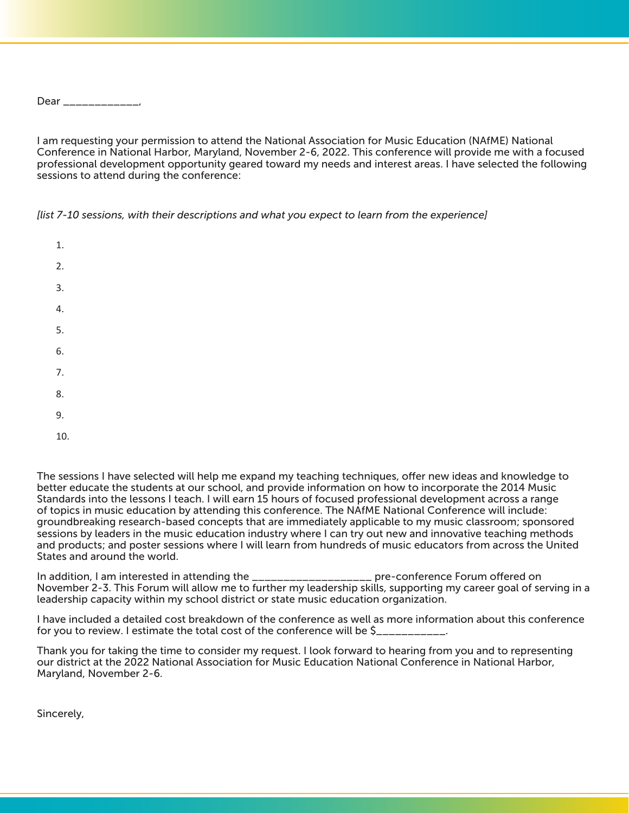Dear \_\_\_\_\_\_\_\_\_\_\_\_\_\_,

I am requesting your permission to attend the National Association for Music Education (NAfME) National Conference in National Harbor, Maryland, November 2-6, 2022. This conference will provide me with a focused professional development opportunity geared toward my needs and interest areas. I have selected the following sessions to attend during the conference:

*[list 7-10 sessions, with their descriptions and what you expect to learn from the experience]*

1.  $\mathcal{L}$ 3. 4. 5. 6. 7. 8. 9.

10.

The sessions I have selected will help me expand my teaching techniques, offer new ideas and knowledge to better educate the students at our school, and provide information on how to incorporate the 2014 Music Standards into the lessons I teach. I will earn 15 hours of focused professional development across a range of topics in music education by attending this conference. The NAfME National Conference will include: groundbreaking research-based concepts that are immediately applicable to my music classroom; sponsored sessions by leaders in the music education industry where I can try out new and innovative teaching methods and products; and poster sessions where I will learn from hundreds of music educators from across the United States and around the world.

In addition, I am interested in attending the \_\_\_\_\_\_\_\_\_\_\_\_\_\_\_\_\_\_\_\_\_\_ pre-conference Forum offered on November 2-3. This Forum will allow me to further my leadership skills, supporting my career goal of serving in a leadership capacity within my school district or state music education organization.

I have included a detailed cost breakdown of the conference as well as more information about this conference for you to review. I estimate the total cost of the conference will be \$\_\_\_\_\_\_\_\_\_\_\_.

Thank you for taking the time to consider my request. I look forward to hearing from you and to representing our district at the 2022 National Association for Music Education National Conference in National Harbor, Maryland, November 2-6.

Sincerely,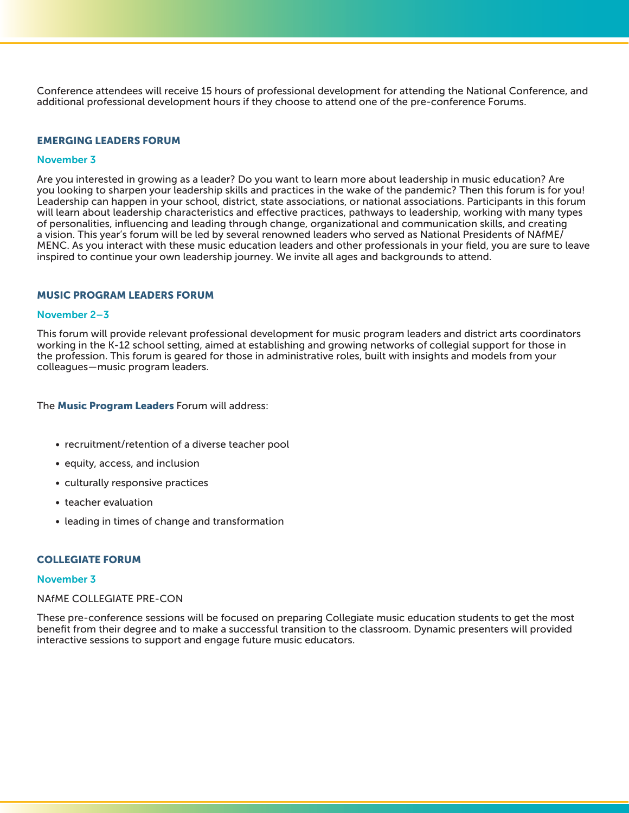Conference attendees will receive 15 hours of professional development for attending the National Conference, and additional professional development hours if they choose to attend one of the pre-conference Forums.

#### EMERGING LEADERS FORUM

#### November 3

Are you interested in growing as a leader? Do you want to learn more about leadership in music education? Are you looking to sharpen your leadership skills and practices in the wake of the pandemic? Then this forum is for you! Leadership can happen in your school, district, state associations, or national associations. Participants in this forum will learn about leadership characteristics and effective practices, pathways to leadership, working with many types of personalities, influencing and leading through change, organizational and communication skills, and creating a vision. This year's forum will be led by several renowned leaders who served as National Presidents of NAfME/ MENC. As you interact with these music education leaders and other professionals in your field, you are sure to leave inspired to continue your own leadership journey. We invite all ages and backgrounds to attend.

#### MUSIC PROGRAM LEADERS FORUM

#### November 2–3

This forum will provide relevant professional development for music program leaders and district arts coordinators working in the K-12 school setting, aimed at establishing and growing networks of collegial support for those in the profession. This forum is geared for those in administrative roles, built with insights and models from your colleagues—music program leaders.

#### The Music Program Leaders Forum will address:

- recruitment/retention of a diverse teacher pool
- equity, access, and inclusion
- culturally responsive practices
- teacher evaluation
- leading in times of change and transformation

#### COLLEGIATE FORUM

#### November 3

#### NAfME COLLEGIATE PRE-CON

These pre-conference sessions will be focused on preparing Collegiate music education students to get the most benefit from their degree and to make a successful transition to the classroom. Dynamic presenters will provided interactive sessions to support and engage future music educators.